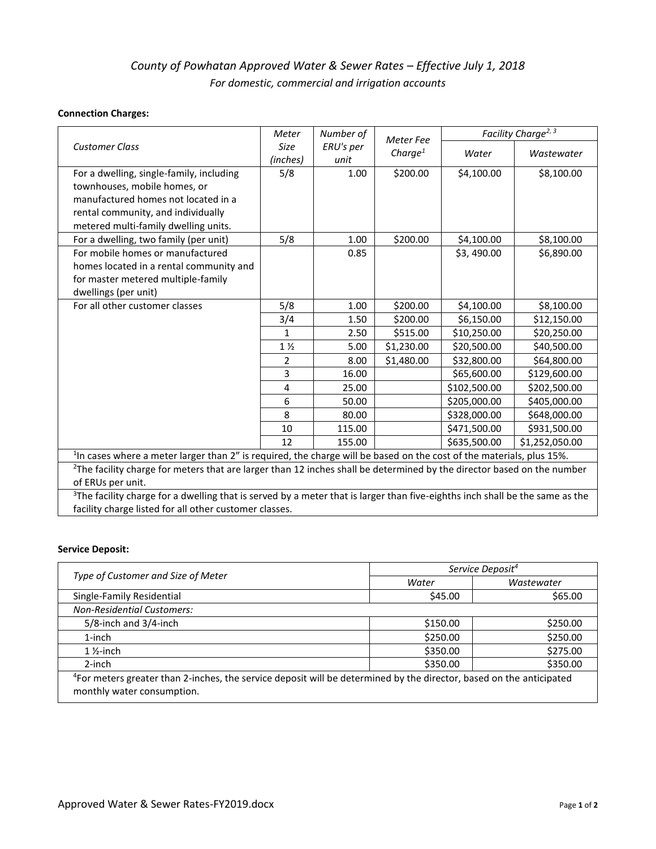# *County of Powhatan Approved Water & Sewer Rates – Effective July 1, 2018 For domestic, commercial and irrigation accounts*

### **Connection Charges:**

|                                                                                                                                          | Meter                   | Number of         | <b>Meter Fee</b>    |              | Facility Charge <sup>2, 3</sup> |
|------------------------------------------------------------------------------------------------------------------------------------------|-------------------------|-------------------|---------------------|--------------|---------------------------------|
| <b>Customer Class</b>                                                                                                                    | <b>Size</b><br>(inches) | ERU's per<br>unit | Charge <sup>1</sup> | Water        | Wastewater                      |
| For a dwelling, single-family, including                                                                                                 | 5/8                     | 1.00              | \$200.00            | \$4,100.00   | \$8,100.00                      |
| townhouses, mobile homes, or                                                                                                             |                         |                   |                     |              |                                 |
| manufactured homes not located in a                                                                                                      |                         |                   |                     |              |                                 |
| rental community, and individually                                                                                                       |                         |                   |                     |              |                                 |
| metered multi-family dwelling units.                                                                                                     |                         |                   |                     |              |                                 |
| For a dwelling, two family (per unit)                                                                                                    | 5/8                     | 1.00              | \$200.00            | \$4,100.00   | \$8,100.00                      |
| For mobile homes or manufactured                                                                                                         |                         | 0.85              |                     | \$3,490.00   | \$6,890.00                      |
| homes located in a rental community and                                                                                                  |                         |                   |                     |              |                                 |
| for master metered multiple-family                                                                                                       |                         |                   |                     |              |                                 |
| dwellings (per unit)                                                                                                                     |                         |                   |                     |              |                                 |
| For all other customer classes                                                                                                           | 5/8                     | 1.00              | \$200.00            | \$4,100.00   | \$8,100.00                      |
|                                                                                                                                          | 3/4                     | 1.50              | \$200.00            | \$6,150.00   | \$12,150.00                     |
|                                                                                                                                          | $\mathbf{1}$            | 2.50              | \$515.00            | \$10,250.00  | \$20,250.00                     |
|                                                                                                                                          | $1\frac{1}{2}$          | 5.00              | \$1,230.00          | \$20,500.00  | \$40,500.00                     |
|                                                                                                                                          | $\overline{2}$          | 8.00              | \$1,480.00          | \$32,800.00  | \$64,800.00                     |
|                                                                                                                                          | $\overline{3}$          | 16.00             |                     | \$65,600.00  | \$129,600.00                    |
|                                                                                                                                          | 4                       | 25.00             |                     | \$102,500.00 | \$202,500.00                    |
|                                                                                                                                          | 6                       | 50.00             |                     | \$205,000.00 | \$405,000.00                    |
|                                                                                                                                          | 8                       | 80.00             |                     | \$328,000.00 | \$648,000.00                    |
|                                                                                                                                          | 10                      | 115.00            |                     | \$471,500.00 | \$931,500.00                    |
|                                                                                                                                          | 12                      | 155.00            |                     | \$635,500.00 | \$1,252,050.00                  |
| <sup>1</sup> In cases where a meter larger than 2" is required, the charge will be based on the cost of the materials, plus 15%.         |                         |                   |                     |              |                                 |
| <sup>2</sup> The facility charge for meters that are larger than 12 inches shall be determined by the director based on the number       |                         |                   |                     |              |                                 |
| of ERUs per unit.                                                                                                                        |                         |                   |                     |              |                                 |
| <sup>3</sup> The facility charge for a dwelling that is served by a meter that is larger than five-eighths inch shall be the same as the |                         |                   |                     |              |                                 |
| facility charge listed for all other customer classes.                                                                                   |                         |                   |                     |              |                                 |

### **Service Deposit:**

|                                                                                                                                 | Service Deposit <sup>4</sup> |            |  |
|---------------------------------------------------------------------------------------------------------------------------------|------------------------------|------------|--|
| Type of Customer and Size of Meter                                                                                              | Water                        | Wastewater |  |
| Single-Family Residential                                                                                                       | \$45.00                      | \$65.00    |  |
| <b>Non-Residential Customers:</b>                                                                                               |                              |            |  |
| $5/8$ -inch and $3/4$ -inch                                                                                                     | \$150.00                     | \$250.00   |  |
| 1-inch                                                                                                                          | \$250.00                     | \$250.00   |  |
| $1\frac{1}{2}$ -inch                                                                                                            | \$350.00                     | \$275.00   |  |
| $2$ -inch                                                                                                                       | \$350.00                     | \$350.00   |  |
| <sup>4</sup> For meters greater than 2-inches, the service deposit will be determined by the director, based on the anticipated |                              |            |  |
| monthly water consumption.                                                                                                      |                              |            |  |